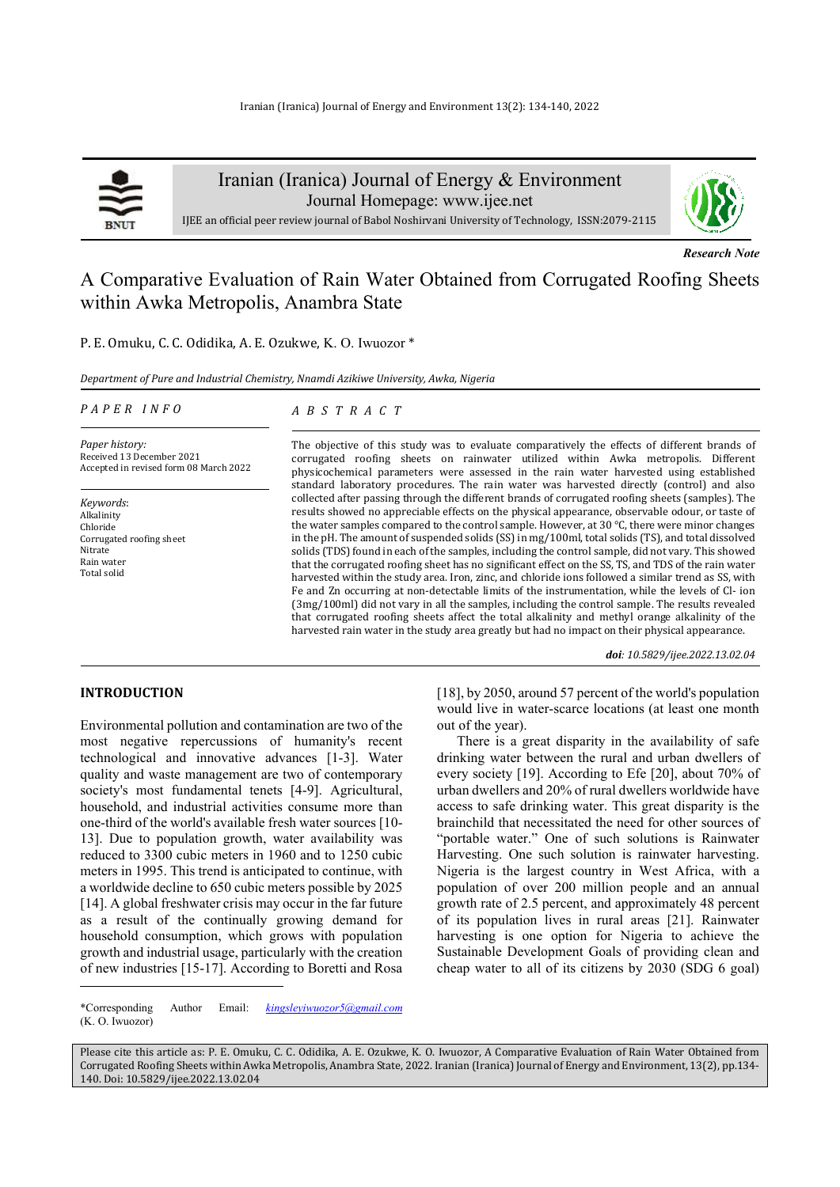

Iranian (Iranica) Journal of Energy & Environment Journal Homepage: www.ijee.net

IJEE an official peer review journal of Babol Noshirvani University of Technology, ISSN:2079-2115

*Research Note*

# A Comparative Evaluation of Rain Water Obtained from Corrugated Roofing Sheets within Awka Metropolis, Anambra State

P. E. Omuku, C. C. Odidika, A. E. Ozukwe, K. O. Iwuozor \*

*Department of Pure and Industrial Chemistry, Nnamdi Azikiwe University, Awka, Nigeria* 

#### *P A P E R I N F O*

# *A B S T R A C T*

*Paper history:*  Received 13 December 2021 Accepted in revised form 08 March 2022

*Keywords*: Alkalinity Chloride Corrugated roofing sheet Nitrate Rain water Total solid

The objective of this study was to evaluate comparatively the effects of different brands of corrugated roofing sheets on rainwater utilized within Awka metropolis. Different physicochemical parameters were assessed in the rain water harvested using established standard laboratory procedures. The rain water was harvested directly (control) and also collected after passing through the different brands of corrugated roofing sheets (samples). The results showed no appreciable effects on the physical appearance, observable odour, or taste of the water samples compared to the control sample. However, at 30 °C, there were minor changes in the pH. The amount of suspended solids (SS) in mg/100ml, total solids (TS), and total dissolved solids (TDS) found in each of the samples, including the control sample, did not vary. This showed that the corrugated roofing sheet has no significant effect on the SS, TS, and TDS of the rain water harvested within the study area. Iron, zinc, and chloride ions followed a similar trend as SS, with Fe and Zn occurring at non-detectable limits of the instrumentation, while the levels of Cl- ion (3mg/100ml) did not vary in all the samples, including the control sample. The results revealed that corrugated roofing sheets affect the total alkalinity and methyl orange alkalinity of the harvested rain water in the study area greatly but had no impact on their physical appearance.

*doi: 10.5829/ijee.2022.13.02.04*

### **INTRODUCTION<sup>1</sup>**

Environmental pollution and contamination are two of the most negative repercussions of humanity's recent technological and innovative advances [1-3]. Water quality and waste management are two of contemporary society's most fundamental tenets [4-9]. Agricultural, household, and industrial activities consume more than one-third of the world's available fresh water sources [10- 13]. Due to population growth, water availability was reduced to 3300 cubic meters in 1960 and to 1250 cubic meters in 1995. This trend is anticipated to continue, with a worldwide decline to 650 cubic meters possible by 2025 [14]. A global freshwater crisis may occur in the far future as a result of the continually growing demand for household consumption, which grows with population growth and industrial usage, particularly with the creation of new industries [15-17]. According to Boretti and Rosa

[18], by 2050, around 57 percent of the world's population would live in water-scarce locations (at least one month out of the year). There is a great disparity in the availability of safe

drinking water between the rural and urban dwellers of every society [19]. According to Efe [20], about 70% of urban dwellers and 20% of rural dwellers worldwide have access to safe drinking water. This great disparity is the brainchild that necessitated the need for other sources of "portable water." One of such solutions is Rainwater Harvesting. One such solution is rainwater harvesting. Nigeria is the largest country in West Africa, with a population of over 200 million people and an annual growth rate of 2.5 percent, and approximately 48 percent of its population lives in rural areas [21]. Rainwater harvesting is one option for Nigeria to achieve the Sustainable Development Goals of providing clean and cheap water to all of its citizens by 2030 (SDG 6 goal)

\*Corresponding Author Email: *kingsleyiwuozor5@gmail.com*  (K. O. Iwuozor)

Please cite this article as: P. E. Omuku, C. C. Odidika, A. E. Ozukwe, K. O. Iwuozor, A Comparative Evaluation of Rain Water Obtained from Corrugated Roofing Sheets within Awka Metropolis, Anambra State, 2022. Iranian (Iranica) Journal of Energy and Environment, 13(2), pp.134- 140. Doi: 10.5829/ijee.2022.13.02.04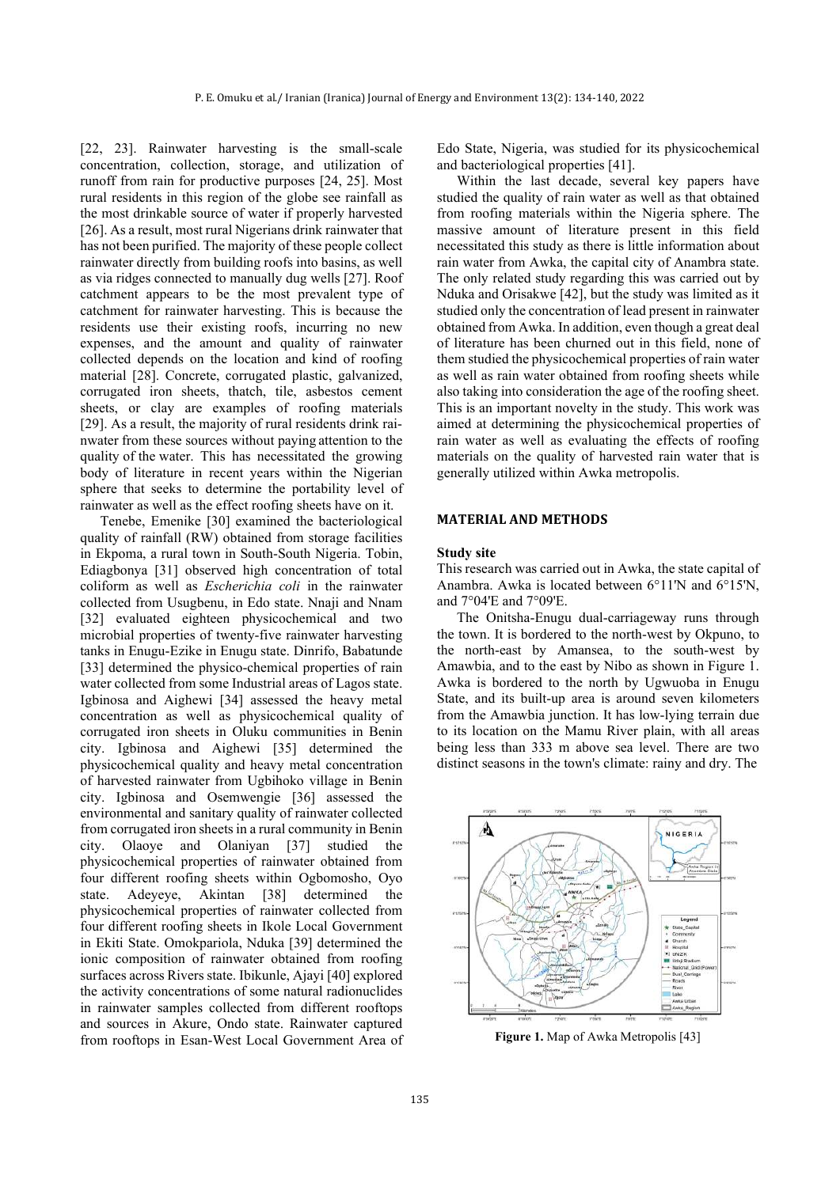[22, 23]. Rainwater harvesting is the small-scale concentration, collection, storage, and utilization of runoff from rain for productive purposes [24, 25]. Most rural residents in this region of the globe see rainfall as the most drinkable source of water if properly harvested [26]. As a result, most rural Nigerians drink rainwater that has not been purified. The majority of these people collect rainwater directly from building roofs into basins, as well as via ridges connected to manually dug wells [27]. Roof catchment appears to be the most prevalent type of catchment for rainwater harvesting. This is because the residents use their existing roofs, incurring no new expenses, and the amount and quality of rainwater collected depends on the location and kind of roofing material [28]. Concrete, corrugated plastic, galvanized, corrugated iron sheets, thatch, tile, asbestos cement sheets, or clay are examples of roofing materials [29]. As a result, the majority of rural residents drink rainwater from these sources without paying attention to the quality of the water. This has necessitated the growing body of literature in recent years within the Nigerian sphere that seeks to determine the portability level of rainwater as well as the effect roofing sheets have on it.

 Tenebe, Emenike [30] examined the bacteriological quality of rainfall (RW) obtained from storage facilities in Ekpoma, a rural town in South-South Nigeria. Tobin, Ediagbonya [31] observed high concentration of total coliform as well as *Escherichia coli* in the rainwater collected from Usugbenu, in Edo state. Nnaji and Nnam [32] evaluated eighteen physicochemical and two microbial properties of twenty-five rainwater harvesting tanks in Enugu-Ezike in Enugu state. Dinrifo, Babatunde [33] determined the physico-chemical properties of rain water collected from some Industrial areas of Lagos state. Igbinosa and Aighewi [34] assessed the heavy metal concentration as well as physicochemical quality of corrugated iron sheets in Oluku communities in Benin city. Igbinosa and Aighewi [35] determined the physicochemical quality and heavy metal concentration of harvested rainwater from Ugbihoko village in Benin city. Igbinosa and Osemwengie [36] assessed the environmental and sanitary quality of rainwater collected from corrugated iron sheets in a rural community in Benin city. Olaoye and Olaniyan [37] studied the physicochemical properties of rainwater obtained from four different roofing sheets within Ogbomosho, Oyo state. Adeyeye, Akintan [38] determined the physicochemical properties of rainwater collected from four different roofing sheets in Ikole Local Government in Ekiti State. Omokpariola, Nduka [39] determined the ionic composition of rainwater obtained from roofing surfaces across Rivers state. Ibikunle, Ajayi [40] explored the activity concentrations of some natural radionuclides in rainwater samples collected from different rooftops and sources in Akure, Ondo state. Rainwater captured from rooftops in Esan-West Local Government Area of Edo State, Nigeria, was studied for its physicochemical and bacteriological properties [41].

Within the last decade, several key papers have studied the quality of rain water as well as that obtained from roofing materials within the Nigeria sphere. The massive amount of literature present in this field necessitated this study as there is little information about rain water from Awka, the capital city of Anambra state. The only related study regarding this was carried out by Nduka and Orisakwe [42], but the study was limited as it studied only the concentration of lead present in rainwater obtained from Awka. In addition, even though a great deal of literature has been churned out in this field, none of them studied the physicochemical properties of rain water as well as rain water obtained from roofing sheets while also taking into consideration the age of the roofing sheet. This is an important novelty in the study. This work was aimed at determining the physicochemical properties of rain water as well as evaluating the effects of roofing materials on the quality of harvested rain water that is generally utilized within Awka metropolis.

# **MATERIAL AND METHODS**

#### **Study site**

This research was carried out in Awka, the state capital of Anambra. Awka is located between 6°11'N and 6°15'N, and 7°04'E and 7°09'E.

The Onitsha-Enugu dual-carriageway runs through the town. It is bordered to the north-west by Okpuno, to the north-east by Amansea, to the south-west by Amawbia, and to the east by Nibo as shown in Figure 1. Awka is bordered to the north by Ugwuoba in Enugu State, and its built-up area is around seven kilometers from the Amawbia junction. It has low-lying terrain due to its location on the Mamu River plain, with all areas being less than 333 m above sea level. There are two distinct seasons in the town's climate: rainy and dry. The



**Figure 1.** Map of Awka Metropolis [43]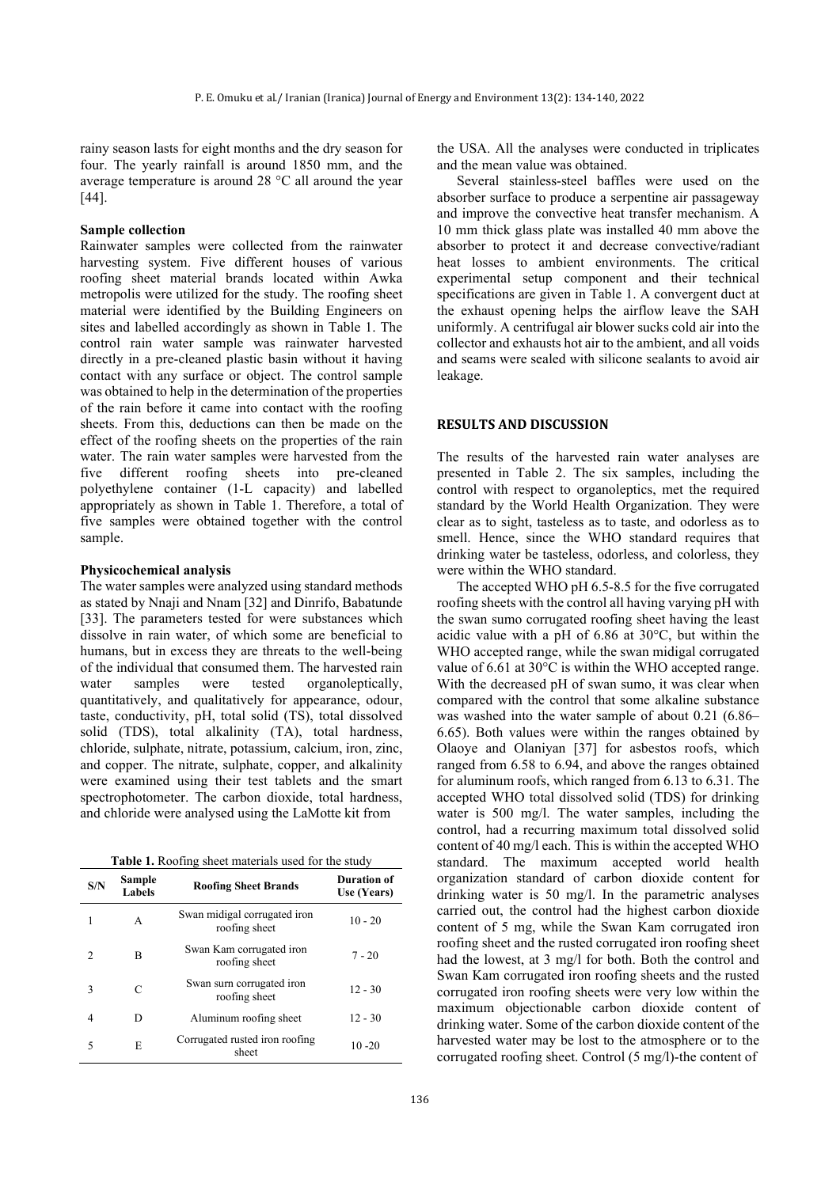rainy season lasts for eight months and the dry season for four. The yearly rainfall is around 1850 mm, and the average temperature is around 28 °C all around the year [44].

#### **Sample collection**

Rainwater samples were collected from the rainwater harvesting system. Five different houses of various roofing sheet material brands located within Awka metropolis were utilized for the study. The roofing sheet material were identified by the Building Engineers on sites and labelled accordingly as shown in Table 1. The control rain water sample was rainwater harvested directly in a pre-cleaned plastic basin without it having contact with any surface or object. The control sample was obtained to help in the determination of the properties of the rain before it came into contact with the roofing sheets. From this, deductions can then be made on the effect of the roofing sheets on the properties of the rain water. The rain water samples were harvested from the five different roofing sheets into pre-cleaned polyethylene container (1-L capacity) and labelled appropriately as shown in Table 1. Therefore, a total of five samples were obtained together with the control sample.

### **Physicochemical analysis**

The water samples were analyzed using standard methods as stated by Nnaji and Nnam [32] and Dinrifo, Babatunde [33]. The parameters tested for were substances which dissolve in rain water, of which some are beneficial to humans, but in excess they are threats to the well-being of the individual that consumed them. The harvested rain water samples were tested organoleptically, quantitatively, and qualitatively for appearance, odour, taste, conductivity, pH, total solid (TS), total dissolved solid (TDS), total alkalinity (TA), total hardness, chloride, sulphate, nitrate, potassium, calcium, iron, zinc, and copper. The nitrate, sulphate, copper, and alkalinity were examined using their test tablets and the smart spectrophotometer. The carbon dioxide, total hardness, and chloride were analysed using the LaMotte kit from

**Table 1.** Roofing sheet materials used for the study

| S/N            | Sample<br>Labels | <b>Roofing Sheet Brands</b>                   | Duration of<br>Use (Years) |  |  |
|----------------|------------------|-----------------------------------------------|----------------------------|--|--|
|                | A                | Swan midigal corrugated iron<br>roofing sheet | $10 - 20$                  |  |  |
| $\mathfrak{D}$ | B                | Swan Kam corrugated iron<br>roofing sheet     | $7 - 20$                   |  |  |
| 3              | C                | Swan surn corrugated iron<br>roofing sheet    | $12 - 30$                  |  |  |
| 4              | D                | Aluminum roofing sheet                        | $12 - 30$                  |  |  |
| 5              | E                | Corrugated rusted iron roofing<br>sheet       | $10 - 20$                  |  |  |

the USA. All the analyses were conducted in triplicates and the mean value was obtained.

Several stainless-steel baffles were used on the absorber surface to produce a serpentine air passageway and improve the convective heat transfer mechanism. A 10 mm thick glass plate was installed 40 mm above the absorber to protect it and decrease convective/radiant heat losses to ambient environments. The critical experimental setup component and their technical specifications are given in Table 1. A convergent duct at the exhaust opening helps the airflow leave the SAH uniformly. A centrifugal air blower sucks cold air into the collector and exhausts hot air to the ambient, and all voids and seams were sealed with silicone sealants to avoid air leakage.

# **RESULTS AND DISCUSSION**

The results of the harvested rain water analyses are presented in Table 2. The six samples, including the control with respect to organoleptics, met the required standard by the World Health Organization. They were clear as to sight, tasteless as to taste, and odorless as to smell. Hence, since the WHO standard requires that drinking water be tasteless, odorless, and colorless, they were within the WHO standard.

The accepted WHO pH 6.5-8.5 for the five corrugated roofing sheets with the control all having varying pH with the swan sumo corrugated roofing sheet having the least acidic value with a pH of 6.86 at 30°C, but within the WHO accepted range, while the swan midigal corrugated value of 6.61 at 30°C is within the WHO accepted range. With the decreased pH of swan sumo, it was clear when compared with the control that some alkaline substance was washed into the water sample of about 0.21 (6.86– 6.65). Both values were within the ranges obtained by Olaoye and Olaniyan [37] for asbestos roofs, which ranged from 6.58 to 6.94, and above the ranges obtained for aluminum roofs, which ranged from 6.13 to 6.31. The accepted WHO total dissolved solid (TDS) for drinking water is 500 mg/l. The water samples, including the control, had a recurring maximum total dissolved solid content of 40 mg/l each. This is within the accepted WHO standard. The maximum accepted world health organization standard of carbon dioxide content for drinking water is 50 mg/l. In the parametric analyses carried out, the control had the highest carbon dioxide content of 5 mg, while the Swan Kam corrugated iron roofing sheet and the rusted corrugated iron roofing sheet had the lowest, at 3 mg/l for both. Both the control and Swan Kam corrugated iron roofing sheets and the rusted corrugated iron roofing sheets were very low within the maximum objectionable carbon dioxide content of drinking water. Some of the carbon dioxide content of the harvested water may be lost to the atmosphere or to the corrugated roofing sheet. Control (5 mg/l)-the content of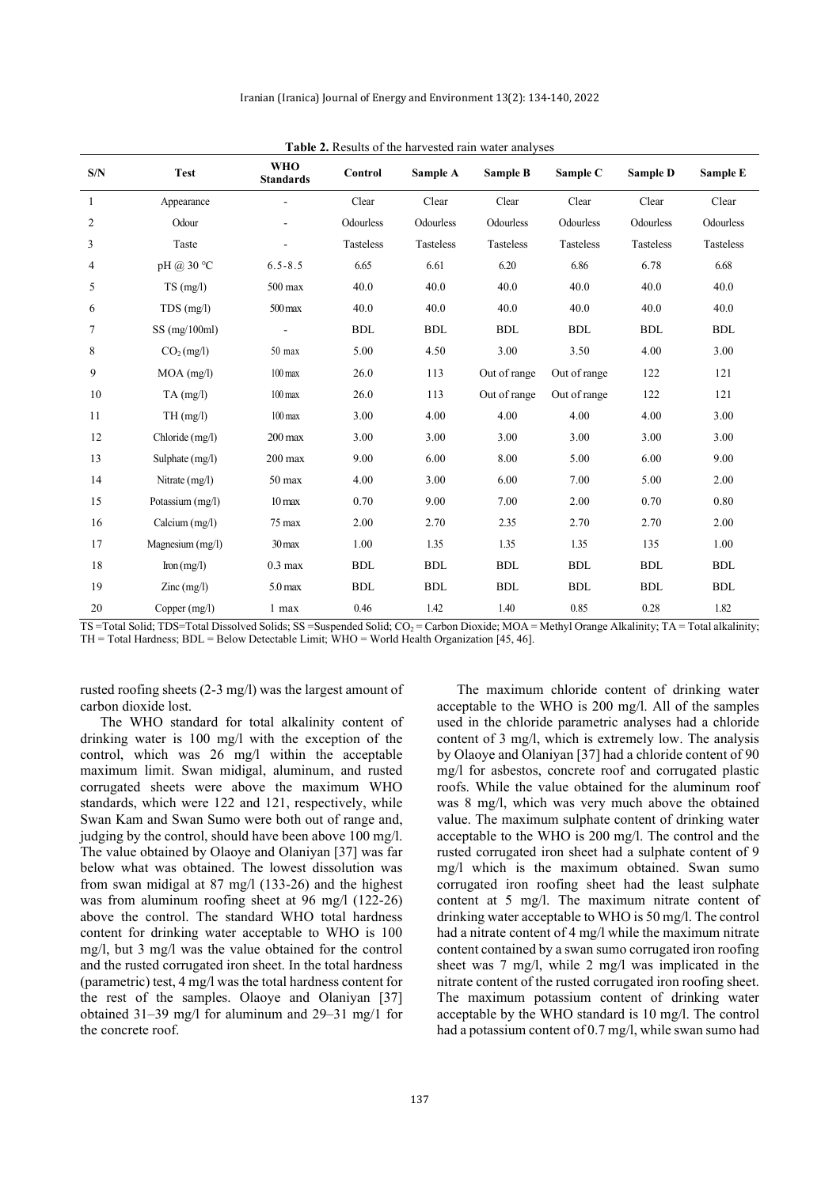| S/N | <b>Test</b>                              | <b>WHO</b><br><b>Standards</b> | Control    | Sample A   | Sample B     | Sample C     | Sample D         | Sample E   |
|-----|------------------------------------------|--------------------------------|------------|------------|--------------|--------------|------------------|------------|
| 1   | Appearance                               |                                | Clear      | Clear      | Clear        | Clear        | Clear            | Clear      |
| 2   | Odour                                    |                                | Odourless  | Odourless  | Odourless    | Odourless    | Odourless        | Odourless  |
| 3   | Taste                                    |                                | Tasteless  | Tasteless  | Tasteless    | Tasteless    | <b>Tasteless</b> | Tasteless  |
| 4   | pH @ 30 °C                               | $6.5 - 8.5$                    | 6.65       | 6.61       | 6.20         | 6.86         | 6.78             | 6.68       |
| 5   | $TS$ (mg/l)                              | $500$ max                      | 40.0       | 40.0       | 40.0         | 40.0         | 40.0             | 40.0       |
| 6   | $TDS$ (mg/l)                             | $500 \,\mathrm{max}$           | 40.0       | 40.0       | 40.0         | 40.0         | 40.0             | 40.0       |
| 7   | $SS$ (mg/100ml)                          |                                | <b>BDL</b> | <b>BDL</b> | <b>BDL</b>   | <b>BDL</b>   | <b>BDL</b>       | <b>BDL</b> |
| 8   | $CO2$ (mg/l)                             | $50$ max                       | 5.00       | 4.50       | 3.00         | 3.50         | 4.00             | 3.00       |
| 9   | $MOA$ (mg/l)                             | $100 \,\mathrm{max}$           | 26.0       | 113        | Out of range | Out of range | 122              | 121        |
| 10  | $TA$ (mg/l)                              | $100 \text{ max}$              | 26.0       | 113        | Out of range | Out of range | 122              | 121        |
| 11  | TH(mg/l)                                 | $100 \,\mathrm{max}$           | 3.00       | 4.00       | 4.00         | 4.00         | 4.00             | 3.00       |
| 12  | Chloride (mg/l)                          | $200 \,\mathrm{max}$           | 3.00       | 3.00       | 3.00         | 3.00         | 3.00             | 3.00       |
| 13  | Sulphate (mg/l)                          | $200$ max                      | 9.00       | 6.00       | 8.00         | 5.00         | 6.00             | 9.00       |
| 14  | Nitrate (mg/l)                           | $50 \text{ max}$               | 4.00       | 3.00       | 6.00         | 7.00         | 5.00             | 2.00       |
| 15  | Potassium (mg/l)                         | $10 \,\mathrm{max}$            | 0.70       | 9.00       | 7.00         | 2.00         | 0.70             | 0.80       |
| 16  | Calcium (mg/l)                           | 75 max                         | 2.00       | 2.70       | 2.35         | 2.70         | 2.70             | 2.00       |
| 17  | Magnesium (mg/l)                         | $30 \,\mathrm{max}$            | 1.00       | 1.35       | 1.35         | 1.35         | 135              | 1.00       |
| 18  | $\text{Iron}(mg/l)$                      | $0.3 \text{ max}$              | <b>BDL</b> | <b>BDL</b> | <b>BDL</b>   | <b>BDL</b>   | <b>BDL</b>       | <b>BDL</b> |
| 19  | $\text{Zinc} \left( \text{mg/l} \right)$ | 5.0 <sub>max</sub>             | <b>BDL</b> | <b>BDL</b> | <b>BDL</b>   | <b>BDL</b>   | <b>BDL</b>       | <b>BDL</b> |
| 20  | Copper $(mg/l)$                          | 1 max                          | 0.46       | 1.42       | 1.40         | 0.85         | 0.28             | 1.82       |

**Table 2.** Results of the harvested rain water analyses

TS =Total Solid; TDS=Total Dissolved Solids; SS =Suspended Solid; CO<sub>2</sub> = Carbon Dioxide; MOA = Methyl Orange Alkalinity; TA = Total alkalinity; TH = Total Hardness; BDL = Below Detectable Limit; WHO = World Health Organization [45, 46].

rusted roofing sheets (2-3 mg/l) was the largest amount of carbon dioxide lost.

The WHO standard for total alkalinity content of drinking water is 100 mg/l with the exception of the control, which was 26 mg/l within the acceptable maximum limit. Swan midigal, aluminum, and rusted corrugated sheets were above the maximum WHO standards, which were 122 and 121, respectively, while Swan Kam and Swan Sumo were both out of range and, judging by the control, should have been above 100 mg/l. The value obtained by Olaoye and Olaniyan [37] was far below what was obtained. The lowest dissolution was from swan midigal at 87 mg/l (133-26) and the highest was from aluminum roofing sheet at 96 mg/l (122-26) above the control. The standard WHO total hardness content for drinking water acceptable to WHO is 100 mg/l, but 3 mg/l was the value obtained for the control and the rusted corrugated iron sheet. In the total hardness (parametric) test, 4 mg/l was the total hardness content for the rest of the samples. Olaoye and Olaniyan [37] obtained 31–39 mg/l for aluminum and 29–31 mg/1 for the concrete roof.

The maximum chloride content of drinking water acceptable to the WHO is 200 mg/l. All of the samples used in the chloride parametric analyses had a chloride content of 3 mg/l, which is extremely low. The analysis by Olaoye and Olaniyan [37] had a chloride content of 90 mg/l for asbestos, concrete roof and corrugated plastic roofs. While the value obtained for the aluminum roof was 8 mg/l, which was very much above the obtained value. The maximum sulphate content of drinking water acceptable to the WHO is 200 mg/l. The control and the rusted corrugated iron sheet had a sulphate content of 9 mg/l which is the maximum obtained. Swan sumo corrugated iron roofing sheet had the least sulphate content at 5 mg/l. The maximum nitrate content of drinking water acceptable to WHO is 50 mg/l. The control had a nitrate content of 4 mg/l while the maximum nitrate content contained by a swan sumo corrugated iron roofing sheet was 7 mg/l, while 2 mg/l was implicated in the nitrate content of the rusted corrugated iron roofing sheet. The maximum potassium content of drinking water acceptable by the WHO standard is 10 mg/l. The control had a potassium content of 0.7 mg/l, while swan sumo had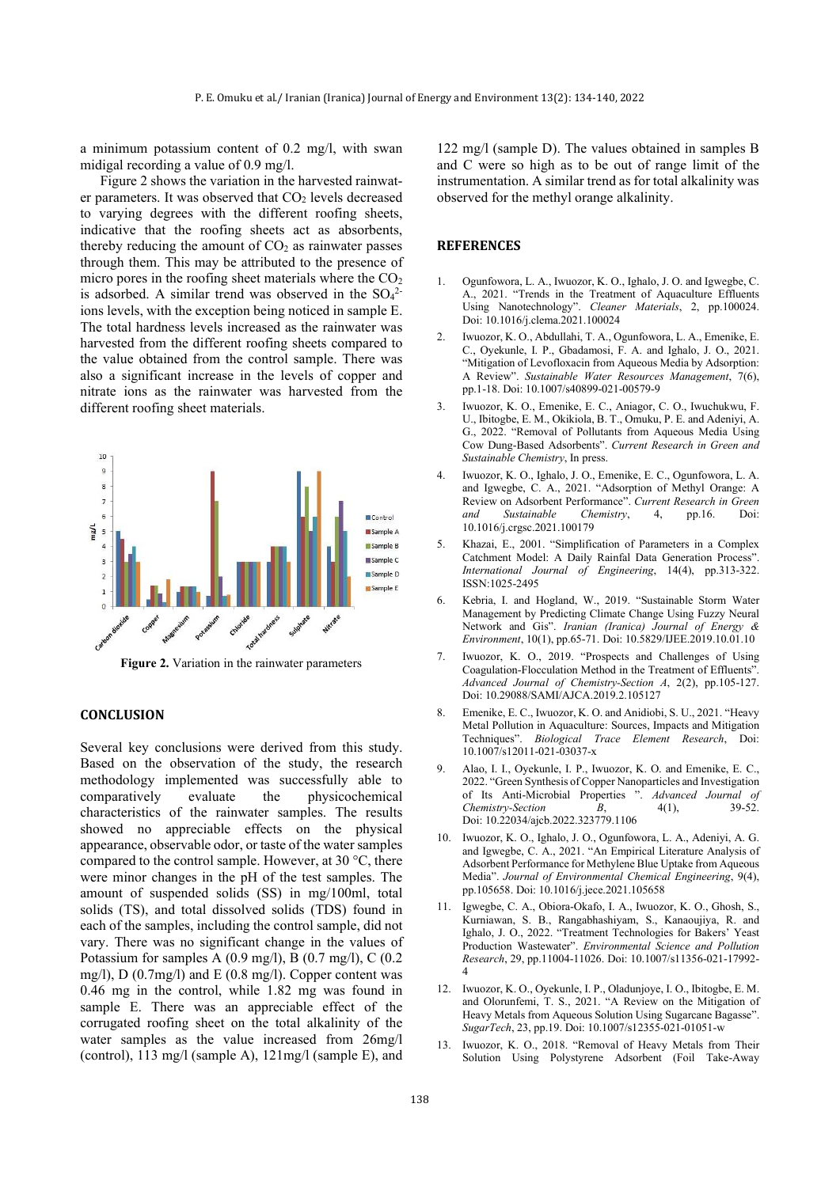a minimum potassium content of 0.2 mg/l, with swan midigal recording a value of 0.9 mg/l.

Figure 2 shows the variation in the harvested rainwater parameters. It was observed that  $CO<sub>2</sub>$  levels decreased to varying degrees with the different roofing sheets, indicative that the roofing sheets act as absorbents, thereby reducing the amount of  $CO<sub>2</sub>$  as rainwater passes through them. This may be attributed to the presence of micro pores in the roofing sheet materials where the  $CO<sub>2</sub>$ is adsorbed. A similar trend was observed in the  $SO_4^2$ ions levels, with the exception being noticed in sample E. The total hardness levels increased as the rainwater was harvested from the different roofing sheets compared to the value obtained from the control sample. There was also a significant increase in the levels of copper and nitrate ions as the rainwater was harvested from the different roofing sheet materials.



**Figure 2.** Variation in the rainwater parameters

# **CONCLUSION**

Several key conclusions were derived from this study. Based on the observation of the study, the research methodology implemented was successfully able to comparatively evaluate the physicochemical characteristics of the rainwater samples. The results showed no appreciable effects on the physical appearance, observable odor, or taste of the water samples compared to the control sample. However, at 30 °C, there were minor changes in the pH of the test samples. The amount of suspended solids (SS) in mg/100ml, total solids (TS), and total dissolved solids (TDS) found in each of the samples, including the control sample, did not vary. There was no significant change in the values of Potassium for samples A (0.9 mg/l), B (0.7 mg/l), C (0.2 mg/l), D (0.7mg/l) and E (0.8 mg/l). Copper content was 0.46 mg in the control, while 1.82 mg was found in sample E. There was an appreciable effect of the corrugated roofing sheet on the total alkalinity of the water samples as the value increased from 26mg/l (control), 113 mg/l (sample A), 121mg/l (sample E), and

122 mg/l (sample D). The values obtained in samples B and C were so high as to be out of range limit of the instrumentation. A similar trend as for total alkalinity was observed for the methyl orange alkalinity.

### **REFERENCES**

- 1. Ogunfowora, L. A., Iwuozor, K. O., Ighalo, J. O. and Igwegbe, C. A., 2021. "Trends in the Treatment of Aquaculture Effluents Using Nanotechnology". *Cleaner Materials*, 2, pp.100024. Doi: 10.1016/j.clema.2021.100024
- 2. Iwuozor, K. O., Abdullahi, T. A., Ogunfowora, L. A., Emenike, E. C., Oyekunle, I. P., Gbadamosi, F. A. and Ighalo, J. O., 2021. "Mitigation of Levofloxacin from Aqueous Media by Adsorption: A Review". *Sustainable Water Resources Management*, 7(6), pp.1-18. Doi: 10.1007/s40899-021-00579-9
- 3. Iwuozor, K. O., Emenike, E. C., Aniagor, C. O., Iwuchukwu, F. U., Ibitogbe, E. M., Okikiola, B. T., Omuku, P. E. and Adeniyi, A. G., 2022. "Removal of Pollutants from Aqueous Media Using Cow Dung-Based Adsorbents". *Current Research in Green and Sustainable Chemistry*, In press.
- 4. Iwuozor, K. O., Ighalo, J. O., Emenike, E. C., Ogunfowora, L. A. and Igwegbe, C. A., 2021. "Adsorption of Methyl Orange: A Review on Adsorbent Performance". *Current Research in Green*   $S$ *ustainable* 10.1016/j.crgsc.2021.100179
- 5. Khazai, E., 2001. "Simplification of Parameters in a Complex Catchment Model: A Daily Rainfal Data Generation Process". *International Journal of Engineering*, 14(4), pp.313-322. ISSN:1025-2495
- 6. Kebria, I. and Hogland, W., 2019. "Sustainable Storm Water Management by Predicting Climate Change Using Fuzzy Neural Network and Gis". *Iranian (Iranica) Journal of Energy & Environment*, 10(1), pp.65-71. Doi: 10.5829/IJEE.2019.10.01.10
- 7. Iwuozor, K. O., 2019. "Prospects and Challenges of Using Coagulation-Flocculation Method in the Treatment of Effluents". *Advanced Journal of Chemistry-Section A*, 2(2), pp.105-127. Doi: 10.29088/SAMI/AJCA.2019.2.105127
- 8. Emenike, E. C., Iwuozor, K. O. and Anidiobi, S. U., 2021. "Heavy Metal Pollution in Aquaculture: Sources, Impacts and Mitigation Techniques". *Biological Trace Element Research*, Doi: 10.1007/s12011-021-03037-x
- 9. Alao, I. I., Oyekunle, I. P., Iwuozor, K. O. and Emenike, E. C., 2022. "Green Synthesis of Copper Nanoparticles and Investigation of Its Anti-Microbial Properties ". *Advanced Journal of Chemistry-Section B*, 4(1), Doi: 10.22034/ajcb.2022.323779.1106
- 10. Iwuozor, K. O., Ighalo, J. O., Ogunfowora, L. A., Adeniyi, A. G. and Igwegbe, C. A., 2021. "An Empirical Literature Analysis of Adsorbent Performance for Methylene Blue Uptake from Aqueous Media". *Journal of Environmental Chemical Engineering*, 9(4), pp.105658. Doi: 10.1016/j.jece.2021.105658
- 11. Igwegbe, C. A., Obiora-Okafo, I. A., Iwuozor, K. O., Ghosh, S., Kurniawan, S. B., Rangabhashiyam, S., Kanaoujiya, R. and Ighalo, J. O., 2022. "Treatment Technologies for Bakers' Yeast Production Wastewater". *Environmental Science and Pollution Research*, 29, pp.11004-11026. Doi: 10.1007/s11356-021-17992- 4
- 12. Iwuozor, K. O., Oyekunle, I. P., Oladunjoye, I. O., Ibitogbe, E. M. and Olorunfemi, T. S., 2021. "A Review on the Mitigation of Heavy Metals from Aqueous Solution Using Sugarcane Bagasse". *SugarTech*, 23, pp.19. Doi: 10.1007/s12355-021-01051-w
- 13. Iwuozor, K. O., 2018. "Removal of Heavy Metals from Their Solution Using Polystyrene Adsorbent (Foil Take-Away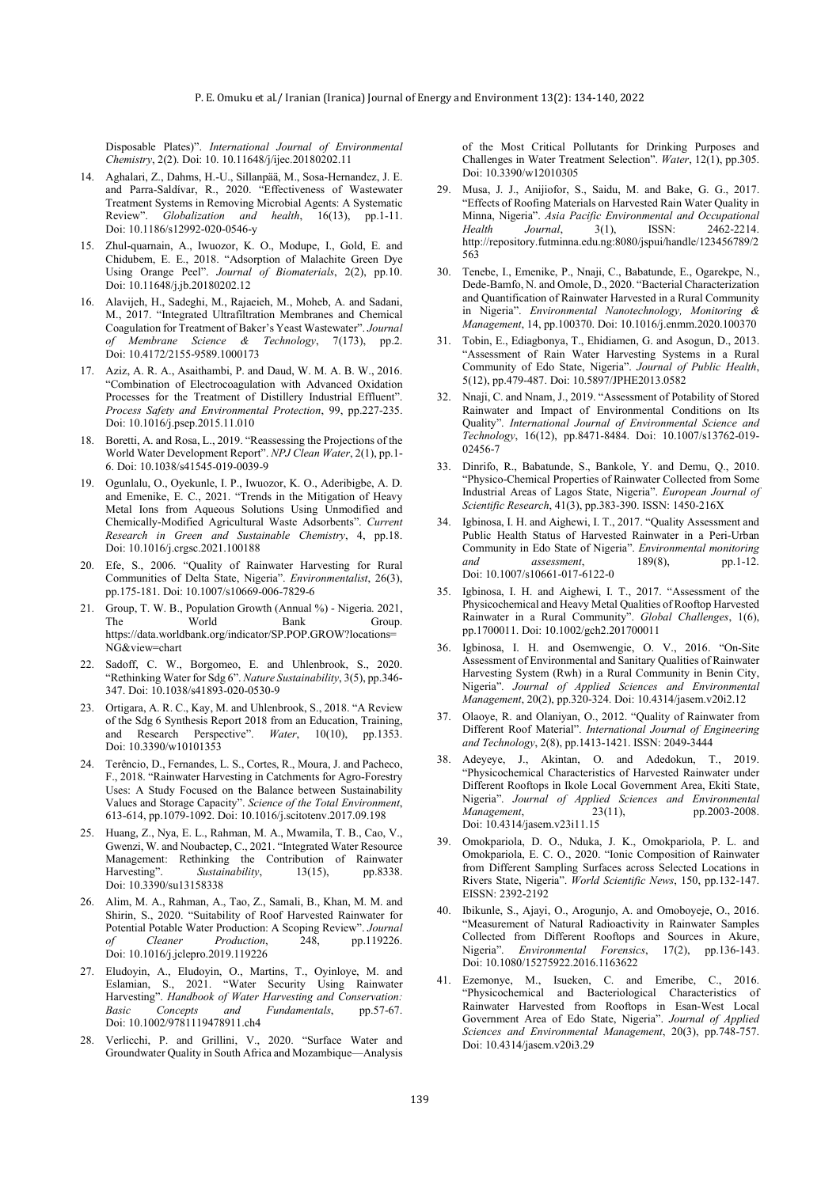Disposable Plates)". *International Journal of Environmental Chemistry*, 2(2). Doi: 10. 10.11648/j/ijec.20180202.11

- 14. Aghalari, Z., Dahms, H.-U., Sillanpää, M., Sosa-Hernandez, J. E. and Parra-Saldívar, R., 2020. "Effectiveness of Wastewater Treatment Systems in Removing Microbial Agents: A Systematic<br>Review". Globalization and health. 16(13). nn.1-11. Globalization and health, 16(13), pp.1-11. Doi: 10.1186/s12992-020-0546-y
- 15. Zhul-quarnain, A., Iwuozor, K. O., Modupe, I., Gold, E. and Chidubem, E. E., 2018. "Adsorption of Malachite Green Dye Using Orange Peel". *Journal of Biomaterials*, 2(2), pp.10. Doi: 10.11648/j.jb.20180202.12
- 16. Alavijeh, H., Sadeghi, M., Rajaeieh, M., Moheb, A. and Sadani, M., 2017. "Integrated Ultrafiltration Membranes and Chemical Coagulation for Treatment of Baker's Yeast Wastewater". *Journal of Membrane Science & Technology*, 7(173), pp.2. Doi: 10.4172/2155-9589.1000173
- 17. Aziz, A. R. A., Asaithambi, P. and Daud, W. M. A. B. W., 2016. "Combination of Electrocoagulation with Advanced Oxidation Processes for the Treatment of Distillery Industrial Effluent". *Process Safety and Environmental Protection*, 99, pp.227-235. Doi: 10.1016/j.psep.2015.11.010
- 18. Boretti, A. and Rosa, L., 2019. "Reassessing the Projections of the World Water Development Report". *NPJ Clean Water*, 2(1), pp.1- 6. Doi: 10.1038/s41545-019-0039-9
- 19. Ogunlalu, O., Oyekunle, I. P., Iwuozor, K. O., Aderibigbe, A. D. and Emenike, E. C., 2021. "Trends in the Mitigation of Heavy Metal Ions from Aqueous Solutions Using Unmodified and Chemically-Modified Agricultural Waste Adsorbents". *Current Research in Green and Sustainable Chemistry*, 4, pp.18. Doi: 10.1016/j.crgsc.2021.100188
- 20. Efe, S., 2006. "Quality of Rainwater Harvesting for Rural Communities of Delta State, Nigeria". *Environmentalist*, 26(3), pp.175-181. Doi: 10.1007/s10669-006-7829-6
- 21. Group, T. W. B., Population Growth (Annual %) Nigeria. 2021, The World Bank Group. https://data.worldbank.org/indicator/SP.POP.GROW?locations= NG&view=chart
- 22. Sadoff, C. W., Borgomeo, E. and Uhlenbrook, S., 2020. "Rethinking Water for Sdg 6". *Nature Sustainability*, 3(5), pp.346- 347. Doi: 10.1038/s41893-020-0530-9
- 23. Ortigara, A. R. C., Kay, M. and Uhlenbrook, S., 2018. "A Review of the Sdg 6 Synthesis Report 2018 from an Education, Training, and Research Perspective". *Water*, 10(10), pp.1353. Doi: 10.3390/w10101353
- 24. Terêncio, D., Fernandes, L. S., Cortes, R., Moura, J. and Pacheco, F., 2018. "Rainwater Harvesting in Catchments for Agro-Forestry Uses: A Study Focused on the Balance between Sustainability Values and Storage Capacity". *Science of the Total Environment*, 613-614, pp.1079-1092. Doi: 10.1016/j.scitotenv.2017.09.198
- 25. Huang, Z., Nya, E. L., Rahman, M. A., Mwamila, T. B., Cao, V., Gwenzi, W. and Noubactep, C., 2021. "Integrated Water Resource Management: Rethinking the Contribution of Rainwater Harvesting". *Sustainability*, 13(15), pp.8338. Doi: 10.3390/su13158338
- 26. Alim, M. A., Rahman, A., Tao, Z., Samali, B., Khan, M. M. and Shirin, S., 2020. "Suitability of Roof Harvested Rainwater for Potential Potable Water Production: A Scoping Review". *Journal of Cleaner Production*, 248, pp.119226. Doi: 10.1016/j.jclepro.2019.119226
- 27. Eludoyin, A., Eludoyin, O., Martins, T., Oyinloye, M. and Eslamian, S., 2021. "Water Security Using Rainwater Harvesting". *Handbook of Water Harvesting and Conservation: Basic Concepts and Fundamentals,* Doi: 10.1002/9781119478911.ch4
- 28. Verlicchi, P. and Grillini, V., 2020. "Surface Water and Groundwater Quality in South Africa and Mozambique—Analysis

of the Most Critical Pollutants for Drinking Purposes and Challenges in Water Treatment Selection". *Water*, 12(1), pp.305. Doi: 10.3390/w12010305

- 29. Musa, J. J., Anijiofor, S., Saidu, M. and Bake, G. G., 2017. "Effects of Roofing Materials on Harvested Rain Water Quality in Minna, Nigeria". *Asia Pacific Environmental and Occupational Health Journal*, 3(1), ISSN: 2462-2214. http://repository.futminna.edu.ng:8080/jspui/handle/123456789/2 563
- 30. Tenebe, I., Emenike, P., Nnaji, C., Babatunde, E., Ogarekpe, N., Dede-Bamfo, N. and Omole, D., 2020. "Bacterial Characterization and Quantification of Rainwater Harvested in a Rural Community in Nigeria". *Environmental Nanotechnology, Monitoring & Management*, 14, pp.100370. Doi: 10.1016/j.enmm.2020.100370
- 31. Tobin, E., Ediagbonya, T., Ehidiamen, G. and Asogun, D., 2013. "Assessment of Rain Water Harvesting Systems in a Rural Community of Edo State, Nigeria". *Journal of Public Health*, 5(12), pp.479-487. Doi: 10.5897/JPHE2013.0582
- 32. Nnaji, C. and Nnam, J., 2019. "Assessment of Potability of Stored Rainwater and Impact of Environmental Conditions on Its Quality". *International Journal of Environmental Science and Technology*, 16(12), pp.8471-8484. Doi: 10.1007/s13762-019- 02456-7
- 33. Dinrifo, R., Babatunde, S., Bankole, Y. and Demu, Q., 2010. "Physico-Chemical Properties of Rainwater Collected from Some Industrial Areas of Lagos State, Nigeria". *European Journal of Scientific Research*, 41(3), pp.383-390. ISSN: 1450-216X
- 34. Igbinosa, I. H. and Aighewi, I. T., 2017. "Quality Assessment and Public Health Status of Harvested Rainwater in a Peri-Urban Community in Edo State of Nigeria". *Environmental monitoring and assessment*, 189(8), pp.1-12. Doi: 10.1007/s10661-017-6122-0
- 35. Igbinosa, I. H. and Aighewi, I. T., 2017. "Assessment of the Physicochemical and Heavy Metal Qualities of Rooftop Harvested Rainwater in a Rural Community". *Global Challenges*, 1(6), pp.1700011. Doi: 10.1002/gch2.201700011
- 36. Igbinosa, I. H. and Osemwengie, O. V., 2016. "On-Site Assessment of Environmental and Sanitary Qualities of Rainwater Harvesting System (Rwh) in a Rural Community in Benin City, Nigeria". *Journal of Applied Sciences and Environmental Management*, 20(2), pp.320-324. Doi: 10.4314/jasem.v20i2.12
- 37. Olaoye, R. and Olaniyan, O., 2012. "Quality of Rainwater from Different Roof Material". *International Journal of Engineering and Technology*, 2(8), pp.1413-1421. ISSN: 2049-3444
- 38. Adeyeye, J., Akintan, O. and Adedokun, T., 2019. "Physicochemical Characteristics of Harvested Rainwater under Different Rooftops in Ikole Local Government Area, Ekiti State, Nigeria". *Journal of Applied Sciences and Environmental Management*, 23(11), pp.2003-2008. Doi: 10.4314/jasem.v23i11.15
- 39. Omokpariola, D. O., Nduka, J. K., Omokpariola, P. L. and Omokpariola, E. C. O., 2020. "Ionic Composition of Rainwater from Different Sampling Surfaces across Selected Locations in Rivers State, Nigeria". *World Scientific News*, 150, pp.132-147. EISSN: 2392-2192
- 40. Ibikunle, S., Ajayi, O., Arogunjo, A. and Omoboyeje, O., 2016. "Measurement of Natural Radioactivity in Rainwater Samples Collected from Different Rooftops and Sources in Akure, Nigeria". *Environmental Forensics*, 17(2), pp.136-143. Doi: 10.1080/15275922.2016.1163622
- 41. Ezemonye, M., Isueken, C. and Emeribe, C., 2016. "Physicochemical and Bacteriological Characteristics of Rainwater Harvested from Rooftops in Esan-West Local Government Area of Edo State, Nigeria". *Journal of Applied Sciences and Environmental Management*, 20(3), pp.748-757. Doi: 10.4314/jasem.v20i3.29